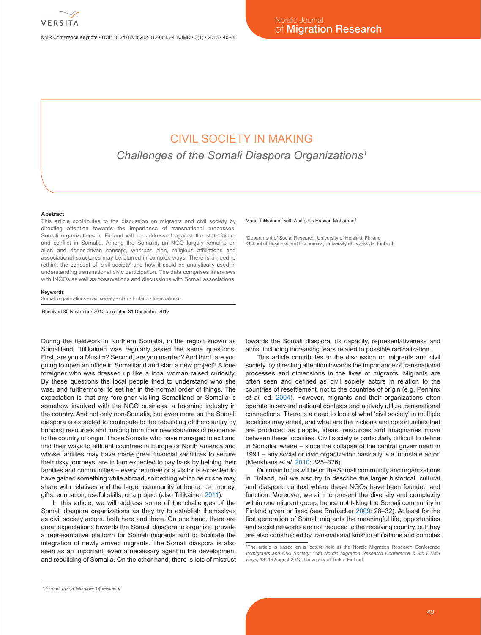

NMR Conference Keynote • DOI: 10.2478/v10202-012-0013-9 NJMR • 3(1) • 2013 • 40-48

# CIVIL SOCIETY IN MAKING

*Challenges of the Somali Diaspora Organizations1*

#### **Abstract**

This article contributes to the discussion on migrants and civil society by directing attention towards the importance of transnational processes. Somali organizations in Finland will be addressed against the state-failure and conflict in Somalia. Among the Somalis, an NGO largely remains an alien and donor-driven concept, whereas clan, religious affiliations and associational structures may be blurred in complex ways. There is a need to rethink the concept of 'civil society' and how it could be analytically used in understanding transnational civic participation. The data comprises interviews with INGOs as well as observations and discussions with Somali associations.

#### **Keywords**

Somali organizations • civil society • clan • Finland • transnational

Received 30 November 2012; accepted 31 December 2012

During the fieldwork in Northern Somalia, in the region known as Somaliland, Tiilikainen was regularly asked the same questions: First, are you a Muslim? Second, are you married? And third, are you going to open an office in Somaliland and start a new project? A lone foreigner who was dressed up like a local woman raised curiosity. By these questions the local people tried to understand who she was, and furthermore, to set her in the normal order of things. The expectation is that any foreigner visiting Somaliland or Somalia is somehow involved with the NGO business, a booming industry in the country. And not only non-Somalis, but even more so the Somali diaspora is expected to contribute to the rebuilding of the country by bringing resources and funding from their new countries of residence to the country of origin. Those Somalis who have managed to exit and find their ways to affluent countries in Europe or North America and whose families may have made great financial sacrifices to secure their risky journeys, are in turn expected to pay back by helping their families and communities – every returnee or a visitor is expected to have gained something while abroad, something which he or she may share with relatives and the larger community at home, i.e. money, gifts, education, useful skills, or a project (also Tiilikainen 2011).

In this article, we will address some of the challenges of the Somali diaspora organizations as they try to establish themselves as civil society actors, both here and there. On one hand, there are great expectations towards the Somali diaspora to organize, provide a representative platform for Somali migrants and to facilitate the integration of newly arrived migrants. The Somali diaspora is also seen as an important, even a necessary agent in the development and rebuilding of Somalia. On the other hand, there is lots of mistrust

#### Maria Tiilikainen<sup>1\*</sup> with Abdirizak Hassan Mohamed<sup>2</sup>

1 Department of Social Research, University of Helsinki, Finland 2 School of Business and Economics, University of Jyväskylä, Finland

towards the Somali diaspora, its capacity, representativeness and aims, including increasing fears related to possible radicalization.

This article contributes to the discussion on migrants and civil society, by directing attention towards the importance of transnational processes and dimensions in the lives of migrants. Migrants are often seen and defined as civil society actors in relation to the countries of resettlement, not to the countries of origin (e.g. Penninx *et al.* ed. 2004). However, migrants and their organizations often operate in several national contexts and actively utilize transnational connections. There is a need to look at what 'civil society' in multiple localities may entail, and what are the frictions and opportunities that are produced as people, ideas, resources and imaginaries move between these localities. Civil society is particularly difficult to define in Somalia, where – since the collapse of the central government in 1991 – any social or civic organization basically is a 'nonstate actor' (Menkhaus *et al.* 2010: 325–326).

Our main focus will be on the Somali community and organizations in Finland, but we also try to describe the larger historical, cultural and diasporic context where these NGOs have been founded and function. Moreover, we aim to present the diversity and complexity within one migrant group, hence not taking the Somali community in Finland given or fixed (see Brubacker 2009: 28–32). At least for the first generation of Somali migrants the meaningful life, opportunities and social networks are not reduced to the receiving country, but they are also constructed by transnational kinship affiliations and complex

<sup>1</sup> The article is based on a lecture held at the Nordic Migration Research Conference *Immigrants and Civil Society: 16th Nordic Migration Research Conference & 9th ETMU Days*, 13–15 August 2012, University of Turku, Finland.

*<sup>\*</sup> E-mail: marja.tiilikainen@helsinki.fi*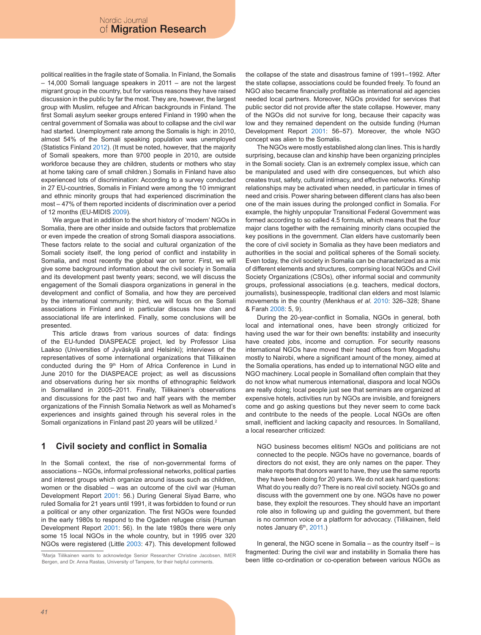political realities in the fragile state of Somalia. In Finland, the Somalis – 14,000 Somali language speakers in 2011 – are not the largest migrant group in the country, but for various reasons they have raised discussion in the public by far the most. They are, however, the largest group with Muslim, refugee and African backgrounds in Finland. The first Somali asylum seeker groups entered Finland in 1990 when the central government of Somalia was about to collapse and the civil war had started. Unemployment rate among the Somalis is high: in 2010, almost 54% of the Somali speaking population was unemployed (Statistics Finland 2012). (It must be noted, however, that the majority of Somali speakers, more than 9700 people in 2010, are outside workforce because they are children, students or mothers who stay at home taking care of small children.) Somalis in Finland have also experienced lots of discrimination: According to a survey conducted in 27 EU-countries, Somalis in Finland were among the 10 immigrant and ethnic minority groups that had experienced discrimination the most – 47% of them reported incidents of discrimination over a period of 12 months (EU-MIDIS 2009).

We argue that in addition to the short history of 'modern' NGOs in Somalia, there are other inside and outside factors that problematize or even impede the creation of strong Somali diaspora associations. These factors relate to the social and cultural organization of the Somali society itself, the long period of conflict and instability in Somalia, and most recently the global war on terror. First, we will give some background information about the civil society in Somalia and its development past twenty years; second, we will discuss the engagement of the Somali diaspora organizations in general in the development and conflict of Somalia, and how they are perceived by the international community; third, we will focus on the Somali associations in Finland and in particular discuss how clan and associational life are interlinked. Finally, some conclusions will be presented.

This article draws from various sources of data: findings of the EU-funded DIASPEACE project, led by Professor Liisa Laakso (Universities of Jyväskylä and Helsinki); interviews of the representatives of some international organizations that Tiilikainen conducted during the 9<sup>th</sup> Horn of Africa Conference in Lund in June 2010 for the DIASPEACE project; as well as discussions and observations during her six months of ethnographic fieldwork in Somaliland in 2005–2011. Finally, Tiilikainen's observations and discussions for the past two and half years with the member organizations of the Finnish Somalia Network as well as Mohamed's experiences and insights gained through his several roles in the Somali organizations in Finland past 20 years will be utilized.<sup>2</sup>

## **1 Civil society and conflict in Somalia**

In the Somali context, the rise of non-governmental forms of associations – NGOs, informal professional networks, political parties and interest groups which organize around issues such as children, women or the disabled – was an outcome of the civil war (Human Development Report 2001: 56.) During General Siyad Barre, who ruled Somalia for 21 years until 1991, it was forbidden to found or run a political or any other organization. The first NGOs were founded in the early 1980s to respond to the Ogaden refugee crisis (Human Development Report 2001: 56). In the late 1980s there were only some 15 local NGOs in the whole country, but in 1995 over 320 NGOs were registered (Little 2003: 47). This development followed

2 Marja Tiilikainen wants to acknowledge Senior Researcher Christine Jacobsen, IMER Bergen, and Dr. Anna Rastas, University of Tampere, for their helpful comments.

the collapse of the state and disastrous famine of 1991–1992. After the state collapse, associations could be founded freely. To found an NGO also became financially profitable as international aid agencies needed local partners. Moreover, NGOs provided for services that public sector did not provide after the state collapse. However, many of the NGOs did not survive for long, because their capacity was low and they remained dependent on the outside funding (Human Development Report 2001: 56–57). Moreover, the whole NGO concept was alien to the Somalis.

The NGOs were mostly established along clan lines. This is hardly surprising, because clan and kinship have been organizing principles in the Somali society. Clan is an extremely complex issue, which can be manipulated and used with dire consequences, but which also creates trust, safety, cultural intimacy, and effective networks. Kinship relationships may be activated when needed, in particular in times of need and crisis. Power sharing between different clans has also been one of the main issues during the prolonged conflict in Somalia. For example, the highly unpopular Transitional Federal Government was formed according to so called 4.5 formula, which means that the four major clans together with the remaining minority clans occupied the key positions in the government. Clan elders have customarily been the core of civil society in Somalia as they have been mediators and authorities in the social and political spheres of the Somali society. Even today, the civil society in Somalia can be characterized as a mix of different elements and structures, comprising local NGOs and Civil Society Organizations (CSOs), other informal social and community groups, professional associations (e.g. teachers, medical doctors, journalists), businesspeople, traditional clan elders and most Islamic movements in the country (Menkhaus *et al.* 2010: 326–328; Shane & Farah 2008: 5, 9).

During the 20-year-conflict in Somalia, NGOs in general, both local and international ones, have been strongly criticized for having used the war for their own benefits: instability and insecurity have created jobs, income and corruption. For security reasons international NGOs have moved their head offices from Mogadishu mostly to Nairobi, where a significant amount of the money, aimed at the Somalia operations, has ended up to international NGO elite and NGO machinery. Local people in Somaliland often complain that they do not know what numerous international, diaspora and local NGOs are really doing; local people just see that seminars are organized at expensive hotels, activities run by NGOs are invisible, and foreigners come and go asking questions but they never seem to come back and contribute to the needs of the people. Local NGOs are often small, inefficient and lacking capacity and resources. In Somaliland, a local researcher criticized:

NGO business becomes elitism! NGOs and politicians are not connected to the people. NGOs have no governance, boards of directors do not exist, they are only names on the paper. They make reports that donors want to have, they use the same reports they have been doing for 20 years. We do not ask hard questions: What do you really do? There is no real civil society. NGOs go and discuss with the government one by one. NGOs have no power base, they exploit the resources. They should have an important role also in following up and guiding the government, but there is no common voice or a platform for advocacy. (Tiilikainen, field notes January 6<sup>th</sup>, 2011.)

In general, the NGO scene in Somalia – as the country itself – is fragmented: During the civil war and instability in Somalia there has been little co-ordination or co-operation between various NGOs as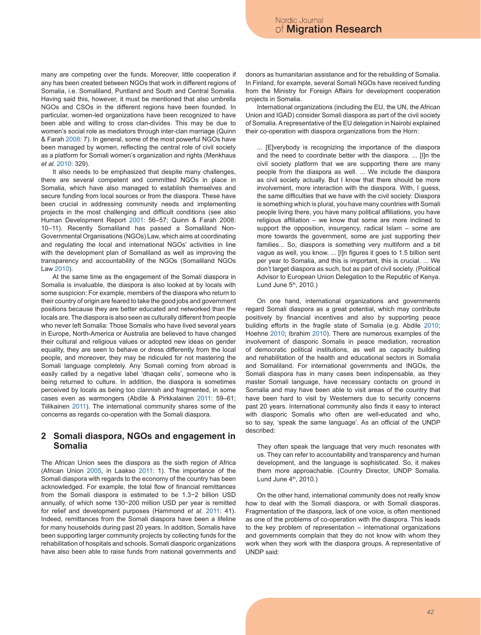many are competing over the funds. Moreover, little cooperation if any has been created between NGOs that work in different regions of Somalia, i.e. Somaliland, Puntland and South and Central Somalia. Having said this, however, it must be mentioned that also umbrella NGOs and CSOs in the different regions have been founded. In particular, women-led organizations have been recognized to have been able and willing to cross clan-divides. This may be due to women's social role as mediators through inter-clan marriage (Quinn & Farah 2008: 7). In general, some of the most powerful NGOs have been managed by women, reflecting the central role of civil society as a platform for Somali women's organization and rights (Menkhaus *et al.* 2010: 329).

It also needs to be emphasized that despite many challenges, there are several competent and committed NGOs in place in Somalia, which have also managed to establish themselves and secure funding from local sources or from the diaspora. These have been crucial in addressing community needs and implementing projects in the most challenging and difficult conditions (see also Human Development Report 2001: 56–57; Quinn & Farah 2008: 10–11). Recently Somaliland has passed a Somaliland Non-Governmental Organisations (NGOs) Law, which aims at coordinating and regulating the local and international NGOs' activities in line with the development plan of Somaliland as well as improving the transparency and accountability of the NGOs (Somaliland NGOs Law 2010).

At the same time as the engagement of the Somali diaspora in Somalia is invaluable, the diaspora is also looked at by locals with some suspicion: For example, members of the diaspora who return to their country of origin are feared to take the good jobs and government positions because they are better educated and networked than the locals are. The diaspora is also seen as culturally different from people who never left Somalia: Those Somalis who have lived several years in Europe, North-America or Australia are believed to have changed their cultural and religious values or adopted new ideas on gender equality, they are seen to behave or dress differently from the local people, and moreover, they may be ridiculed for not mastering the Somali language completely. Any Somali coming from abroad is easily called by a negative label 'dhaqan celis', someone who is being returned to culture. In addition, the diaspora is sometimes perceived by locals as being too clannish and fragmented, in some cases even as warmongers (Abdile & Pirkkalainen 2011: 59–61; Tiilikainen 2011). The international community shares some of the concerns as regards co-operation with the Somali diaspora.

## **2 Somali diaspora, NGOs and engagement in Somalia**

The African Union sees the diaspora as the sixth region of Africa (African Union 2005, in Laakso 2011: 1). The importance of the Somali diaspora with regards to the economy of the country has been acknowledged. For example, the total flow of financial remittances from the Somali diaspora is estimated to be 1.3−2 billion USD annually, of which some 130−200 million USD per year is remitted for relief and development purposes (Hammond *et al.* 2011: 41). Indeed, remittances from the Somali diaspora have been a lifeline for many households during past 20 years. In addition, Somalis have been supporting larger community projects by collecting funds for the rehabilitation of hospitals and schools. Somali diasporic organizations have also been able to raise funds from national governments and donors as humanitarian assistance and for the rebuilding of Somalia. In Finland, for example, several Somali NGOs have received funding from the Ministry for Foreign Affairs for development cooperation projects in Somalia.

International organizations (including the EU, the UN, the African Union and IGAD) consider Somali diaspora as part of the civil society of Somalia. A representative of the EU delegation in Nairobi explained their co-operation with diaspora organizations from the Horn:

... [E]verybody is recognizing the importance of the diaspora and the need to coordinate better with the diaspora. ... [I]n the civil society platform that we are supporting there are many people from the diaspora as well. ... We include the diaspora as civil society actually. But I know that there should be more involvement, more interaction with the diaspora. With, I guess, the same difficulties that we have with the civil society: Diaspora is something which is plural, you have many countries with Somali people living there, you have many political affiliations, you have religious affiliation – we know that some are more inclined to support the opposition, insurgency, radical Islam – some are more towards the government, some are just supporting their families... So, diaspora is something very multiform and a bit vague as well, you know. ... [I]n figures it goes to 1.5 billion sent per year to Somalia, and this is important, this is crucial. ... We don't target diaspora as such, but as part of civil society. (Political Advisor to European Union Delegation to the Republic of Kenya. Lund June  $5<sup>th</sup>$ , 2010.)

On one hand, international organizations and governments regard Somali diaspora as a great potential, which may contribute positively by financial incentives and also by supporting peace building efforts in the fragile state of Somalia (e.g. Abdile 2010; Hoehne 2010; Ibrahim 2010). There are numerous examples of the involvement of diasporic Somalis in peace mediation, recreation of democratic political institutions, as well as capacity building and rehabilitation of the health and educational sectors in Somalia and Somaliland. For international governments and INGOs, the Somali diaspora has in many cases been indispensable, as they master Somali language, have necessary contacts on ground in Somalia and may have been able to visit areas of the country that have been hard to visit by Westerners due to security concerns past 20 years. International community also finds it easy to interact with diasporic Somalis who often are well-educated and who, so to say, 'speak the same language'. As an official of the UNDP described:

They often speak the language that very much resonates with us. They can refer to accountability and transparency and human development, and the language is sophisticated. So, it makes them more approachable. (Country Director, UNDP Somalia. Lund June  $4<sup>th</sup>$ , 2010.)

On the other hand, international community does not really know how to deal with the Somali diaspora, or with Somali diasporas. Fragmentation of the diaspora, lack of one voice, is often mentioned as one of the problems of co-operation with the diaspora. This leads to the key problem of representation – international organizations and governments complain that they do not know with whom they work when they work with the diaspora groups. A representative of UNDP said: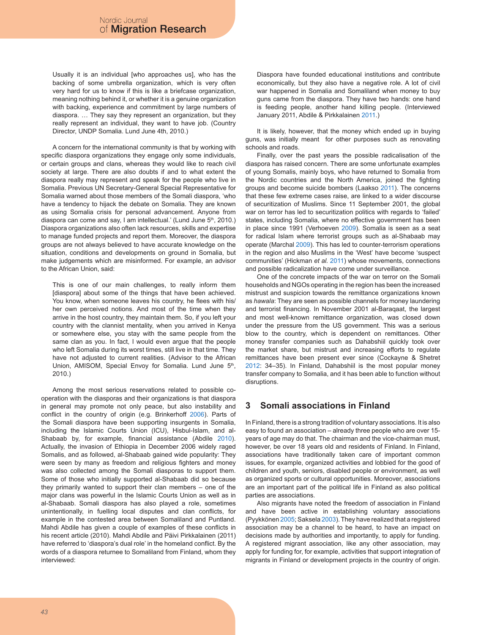Usually it is an individual [who approaches us], who has the backing of some umbrella organization, which is very often very hard for us to know if this is like a briefcase organization, meaning nothing behind it, or whether it is a genuine organization with backing, experience and commitment by large numbers of diaspora. … They say they represent an organization, but they really represent an individual, they want to have job. (Country Director, UNDP Somalia. Lund June 4th, 2010.)

A concern for the international community is that by working with specific diaspora organizations they engage only some individuals, or certain groups and clans, whereas they would like to reach civil society at large. There are also doubts if and to what extent the diaspora really may represent and speak for the people who live in Somalia. Previous UN Secretary-General Special Representative for Somalia warned about those members of the Somali diaspora, 'who have a tendency to hijack the debate on Somalia. They are known as using Somalia crisis for personal advancement. Anyone from diaspora can come and say, I am intellectual.' (Lund June 5<sup>th</sup>, 2010.) Diaspora organizations also often lack resources, skills and expertise to manage funded projects and report them. Moreover, the diaspora groups are not always believed to have accurate knowledge on the situation, conditions and developments on ground in Somalia, but make judgements which are misinformed. For example, an advisor to the African Union, said:

This is one of our main challenges, to really inform them [diaspora] about some of the things that have been achieved. You know, when someone leaves his country, he flees with his/ her own perceived notions. And most of the time when they arrive in the host country, they maintain them. So, if you left your country with the clannist mentality, when you arrived in Kenya or somewhere else, you stay with the same people from the same clan as you. In fact, I would even argue that the people who left Somalia during its worst times, still live in that time. They have not adjusted to current realities. (Advisor to the African Union, AMISOM, Special Envoy for Somalia. Lund June 5<sup>th</sup>, 2010.)

Among the most serious reservations related to possible cooperation with the diasporas and their organizations is that diaspora in general may promote not only peace, but also instability and conflict in the country of origin (e.g. Brinkerhoff 2006). Parts of the Somali diaspora have been supporting insurgents in Somalia, including the Islamic Courts Union (ICU), Hisbul-Islam, and al-Shabaab by, for example, financial assistance (Abdile 2010). Actually, the invasion of Ethiopia in December 2006 widely raged Somalis, and as followed, al-Shabaab gained wide popularity: They were seen by many as freedom and religious fighters and money was also collected among the Somali diasporas to support them. Some of those who initially supported al-Shabaab did so because they primarily wanted to support their clan members – one of the major clans was powerful in the Islamic Courts Union as well as in al-Shabaab. Somali diaspora has also played a role, sometimes unintentionally, in fuelling local disputes and clan conflicts, for example in the contested area between Somaliland and Puntland. Mahdi Abdile has given a couple of examples of these conflicts in his recent article (2010). Mahdi Abdile and Päivi Pirkkalainen (2011) have referred to 'diaspora's dual role' in the homeland conflict. By the words of a diaspora returnee to Somaliland from Finland, whom they interviewed:

Diaspora have founded educational institutions and contribute economically, but they also have a negative role. A lot of civil war happened in Somalia and Somaliland when money to buy guns came from the diaspora. They have two hands: one hand is feeding people, another hand killing people. (Interviewed January 2011, Abdile & Pirkkalainen 2011.)

It is likely, however, that the money which ended up in buying guns, was initially meant for other purposes such as renovating schools and roads.

Finally, over the past years the possible radicalisation of the diaspora has raised concern. There are some unfortunate examples of young Somalis, mainly boys, who have returned to Somalia from the Nordic countries and the North America, joined the fighting groups and become suicide bombers (Laakso 2011). The concerns that these few extreme cases raise, are linked to a wider discourse of securitization of Muslims. Since 11 September 2001, the global war on terror has led to securitization politics with regards to 'failed' states, including Somalia, where no effective government has been in place since 1991 (Verhoeven 2009). Somalia is seen as a seat for radical Islam where terrorist groups such as al-Shabaab may operate (Marchal 2009). This has led to counter-terrorism operations in the region and also Muslims in the 'West' have become 'suspect communities' (Hickman *et al.* 2011) whose movements, connections and possible radicalization have come under surveillance.

One of the concrete impacts of the war on terror on the Somali households and NGOs operating in the region has been the increased mistrust and suspicion towards the remittance organizations known as *hawala*: They are seen as possible channels for money laundering and terrorist financing. In November 2001 al-Baraqaat, the largest and most well-known remittance organization, was closed down under the pressure from the US government. This was a serious blow to the country, which is dependent on remittances. Other money transfer companies such as Dahabshiil quickly took over the market share, but mistrust and increasing efforts to regulate remittances have been present ever since (Cockayne & Shetret 2012: 34–35). In Finland, Dahabshiil is the most popular money transfer company to Somalia, and it has been able to function without disruptions.

## **3 Somali associations in Finland**

In Finland, there is a strong tradition of voluntary associations. It is also easy to found an association – already three people who are over 15 years of age may do that. The chairman and the vice-chairman must, however, be over 18 years old and residents of Finland. In Finland, associations have traditionally taken care of important common issues, for example, organized activities and lobbied for the good of children and youth, seniors, disabled people or environment, as well as organized sports or cultural opportunities. Moreover, associations are an important part of the political life in Finland as also political parties are associations.

Also migrants have noted the freedom of association in Finland and have been active in establishing voluntary associations (Pyykkönen 2005; Saksela 2003). They have realized that a registered association may be a channel to be heard, to have an impact on decisions made by authorities and importantly, to apply for funding. A registered migrant association, like any other association, may apply for funding for, for example, activities that support integration of migrants in Finland or development projects in the country of origin.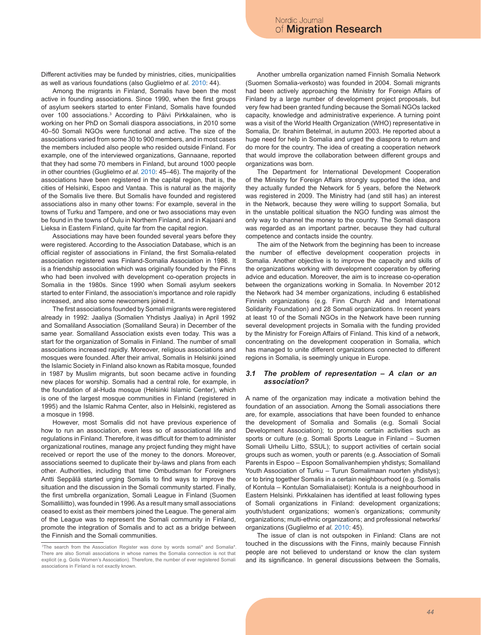Different activities may be funded by ministries, cities, municipalities as well as various foundations (also Guglielmo *et al.* 2010: 44).

Among the migrants in Finland, Somalis have been the most active in founding associations. Since 1990, when the first groups of asylum seekers started to enter Finland, Somalis have founded over 100 associations.3 According to Päivi Pirkkalainen, who is working on her PhD on Somali diaspora associations, in 2010 some 40–50 Somali NGOs were functional and active. The size of the associations varied from some 30 to 900 members, and in most cases the members included also people who resided outside Finland. For example, one of the interviewed organizations, Gannaane, reported that they had some 70 members in Finland, but around 1000 people in other countries (Guglielmo *et al.* 2010: 45–46). The majority of the associations have been registered in the capital region, that is, the cities of Helsinki, Espoo and Vantaa. This is natural as the majority of the Somalis live there. But Somalis have founded and registered associations also in many other towns: For example, several in the towns of Turku and Tampere, and one or two associations may even be found in the towns of Oulu in Northern Finland, and in Kajaani and Lieksa in Eastern Finland, quite far from the capital region.

Associations may have been founded several years before they were registered. According to the Association Database, which is an official register of associations in Finland, the first Somalia-related association registered was Finland-Somalia Association in 1986. It is a friendship association which was originally founded by the Finns who had been involved with development co-operation projects in Somalia in the 1980s. Since 1990 when Somali asylum seekers started to enter Finland, the association's importance and role rapidly increased, and also some newcomers joined it.

The first associations founded by Somali migrants were registered already in 1992: Jaaliya (Somalien Yhdistys Jaaliya) in April 1992 and Somaliland Association (Somaliland Seura) in December of the same year. Somaliland Association exists even today. This was a start for the organization of Somalis in Finland. The number of small associations increased rapidly. Moreover, religious associations and mosques were founded. After their arrival, Somalis in Helsinki joined the Islamic Society in Finland also known as Rabita mosque, founded in 1987 by Muslim migrants, but soon became active in founding new places for worship. Somalis had a central role, for example, in the foundation of al-Huda mosque (Helsinki Islamic Center), which is one of the largest mosque communities in Finland (registered in 1995) and the Islamic Rahma Center, also in Helsinki, registered as a mosque in 1998.

However, most Somalis did not have previous experience of how to run an association, even less so of associational life and regulations in Finland. Therefore, it was difficult for them to administer organizational routines, manage any project funding they might have received or report the use of the money to the donors. Moreover, associations seemed to duplicate their by-laws and plans from each other. Authorities, including that time Ombudsman for Foreigners Antti Seppälä started urging Somalis to find ways to improve the situation and the discussion in the Somali community started. Finally, the first umbrella organization, Somali League in Finland (Suomen Somaliliitto), was founded in 1996. As a result many small associations ceased to exist as their members joined the League. The general aim of the League was to represent the Somali community in Finland, promote the integration of Somalis and to act as a bridge between the Finnish and the Somali communities.

Another umbrella organization named Finnish Somalia Network (Suomen Somalia-verkosto) was founded in 2004. Somali migrants had been actively approaching the Ministry for Foreign Affairs of Finland by a large number of development project proposals, but very few had been granted funding because the Somali NGOs lacked capacity, knowledge and administrative experience. A turning point was a visit of the World Health Organization (WHO) representative in Somalia, Dr. Ibrahim Betelmal, in autumn 2003. He reported about a huge need for help in Somalia and urged the diaspora to return and do more for the country. The idea of creating a cooperation network that would improve the collaboration between different groups and organizations was born.

The Department for International Development Cooperation of the Ministry for Foreign Affairs strongly supported the idea, and they actually funded the Network for 5 years, before the Network was registered in 2009. The Ministry had (and still has) an interest in the Network, because they were willing to support Somalia, but in the unstable political situation the NGO funding was almost the only way to channel the money to the country. The Somali diaspora was regarded as an important partner, because they had cultural competence and contacts inside the country.

The aim of the Network from the beginning has been to increase the number of effective development cooperation projects in Somalia. Another objective is to improve the capacity and skills of the organizations working with development cooperation by offering advice and education. Moreover, the aim is to increase co-operation between the organizations working in Somalia. In November 2012 the Network had 34 member organizations, including 6 established Finnish organizations (e.g. Finn Church Aid and International Solidarity Foundation) and 28 Somali organizations. In recent years at least 10 of the Somali NGOs in the Network have been running several development projects in Somalia with the funding provided by the Ministry for Foreign Affairs of Finland. This kind of a network, concentrating on the development cooperation in Somalia, which has managed to unite different organizations connected to different regions in Somalia, is seemingly unique in Europe.

#### *3.1 The problem of representation – A clan or an association?*

A name of the organization may indicate a motivation behind the foundation of an association. Among the Somali associations there are, for example, associations that have been founded to enhance the development of Somalia and Somalis (e.g. Somali Social Development Association); to promote certain activities such as sports or culture (e.g. Somali Sports League in Finland – Suomen Somali Urheilu Liitto, SSUL); to support activities of certain social groups such as women, youth or parents (e.g. Association of Somali Parents in Espoo – Espoon Somalivanhempien yhdistys; Somaliland Youth Association of Turku – Turun Somalimaan nuorten yhdistys); or to bring together Somalis in a certain neighbourhood (e.g. Somalis of Kontula – Kontulan Somalialaiset): Kontula is a neighbourhood in Eastern Helsinki. Pirkkalainen has identified at least following types of Somali organizations in Finland: development organizations; youth/student organizations; women's organizations; community organizations; multi-ethnic organizations; and professional networks/ organizations (Guglielmo *et al.* 2010: 45).

The issue of clan is not outspoken in Finland: Clans are not touched in the discussions with the Finns, mainly because Finnish people are not believed to understand or know the clan system and its significance. In general discussions between the Somalis,

<sup>3</sup> The search from the Association Register was done by words somali\* and Somalia\*. There are also Somali associations in whose names the Somalia connection is not that explicit (e.g. Golis Women's Association). Therefore, the number of ever registered Somali associations in Finland is not exactly known.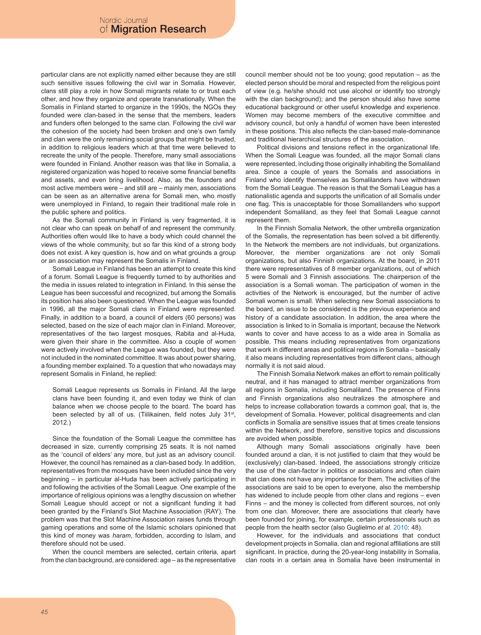particular clans are not explicitly named either because they are still such sensitive issues following the civil war in Somalia. However, clans still play a role in how Somali migrants relate to or trust each other, and how they organize and operate transnationally. When the Somalis in Finland started to organize in the 1990s, the NGOs they founded were clan-based in the sense that the members, leaders and funders often belonged to the same clan. Following the civil war the cohesion of the society had been broken and one's own family and clan were the only remaining social groups that might be trusted, in addition to religious leaders which at that time were believed to recreate the unity of the people. Therefore, many small associations were founded in Finland. Another reason was that like in Somalia, a registered organization was hoped to receive some financial benefits and assets, and even bring livelihood. Also, as the founders and most active members were – and still are – mainly men, associations can be seen as an alternative arena for Somali men, who mostly were unemployed in Finland, to regain their traditional male role in the public sphere and politics.

As the Somali community in Finland is very fragmented, it is not clear who can speak on behalf of and represent the community. Authorities often would like to have a body which could channel the views of the whole community, but so far this kind of a strong body does not exist. A key question is, how and on what grounds a group or an association may represent the Somalis in Finland.

Somali League in Finland has been an attempt to create this kind of a forum. Somali League is frequently turned to by authorities and the media in issues related to integration in Finland. In this sense the League has been successful and recognized, but among the Somalis its position has also been questioned. When the League was founded in 1996, all the major Somali clans in Finland were represented. Finally, in addition to a board, a council of elders (60 persons) was selected, based on the size of each major clan in Finland. Moreover, representatives of the two largest mosques, Rabita and al-Huda, were given their share in the committee. Also a couple of women were actively involved when the League was founded, but they were not included in the nominated committee. It was about power sharing, a founding member explained. To a question that who nowadays may represent Somalis in Finland, he replied:

Somali League represents us Somalis in Finland. All the large clans have been founding it, and even today we think of clan balance when we choose people to the board. The board has been selected by all of us. (Tiilikainen, field notes July 31<sup>st</sup>, 2012.)

Since the foundation of the Somali League the committee has decreased in size, currently comprising 25 seats. It is not named as the 'council of elders' any more, but just as an advisory council. However, the council has remained as a clan-based body. In addition, representatives from the mosques have been included since the very beginning – in particular al-Huda has been actively participating in and following the activities of the Somali League. One example of the importance of religious opinions was a lengthy discussion on whether Somali League should accept or not a significant funding it had been granted by the Finland's Slot Machine Association (RAY). The problem was that the Slot Machine Association raises funds through gaming operations and some of the Islamic scholars opinioned that this kind of money was *haram*, forbidden, according to Islam, and therefore should not be used.

When the council members are selected, certain criteria, apart from the clan background, are considered: age – as the representative council member should not be too young; good reputation – as the elected person should be moral and respected from the religious point of view (e.g. he/she should not use alcohol or identify too strongly with the clan background); and the person should also have some educational background or other useful knowledge and experience. Women may become members of the executive committee and advisory council, but only a handful of women have been interested in these positions. This also reflects the clan-based male-dominance and traditional hierarchical structures of the association.

Political divisions and tensions reflect in the organizational life. When the Somali League was founded, all the major Somali clans were represented, including those originally inhabiting the Somaliland area. Since a couple of years the Somalis and associations in Finland who identify themselves as Somalilanders have withdrawn from the Somali League. The reason is that the Somali League has a nationalistic agenda and supports the unification of all Somalis under one flag. This is unacceptable for those Somalilanders who support independent Somaliland, as they feel that Somali League cannot represent them.

In the Finnish Somalia Network, the other umbrella organization of the Somalis, the representation has been solved a bit differently. In the Network the members are not individuals, but organizations. Moreover, the member organizations are not only Somali organizations, but also Finnish organizations. At the board, in 2011 there were representatives of 8 member organizations, out of which 5 were Somali and 3 Finnish associations. The chairperson of the association is a Somali woman. The participation of women in the activities of the Network is encouraged, but the number of active Somali women is small. When selecting new Somali associations to the board, an issue to be considered is the previous experience and history of a candidate association. In addition, the area where the association is linked to in Somalia is important, because the Network wants to cover and have access to as a wide area in Somalia as possible. This means including representatives from organizations that work in different areas and political regions in Somalia – basically it also means including representatives from different clans, although normally it is not said aloud.

The Finnish Somalia Network makes an effort to remain politically neutral, and it has managed to attract member organizations from all regions in Somalia, including Somaliland. The presence of Finns and Finnish organizations also neutralizes the atmosphere and helps to increase collaboration towards a common goal, that is, the development of Somalia. However, political disagreements and clan conflicts in Somalia are sensitive issues that at times create tensions within the Network, and therefore, sensitive topics and discussions are avoided when possible.

Although many Somali associations originally have been founded around a clan, it is not justified to claim that they would be (exclusively) clan-based. Indeed, the associations strongly criticize the use of the clan-factor in politics or associations and often claim that clan does not have any importance for them. The activities of the associations are said to be open to everyone, also the membership has widened to include people from other clans and regions – even Finns – and the money is collected from different sources, not only from one clan. Moreover, there are associations that clearly have been founded for joining, for example, certain professionals such as people from the health sector (also Guglielmo *et al.* 2010: 48).

However, for the individuals and associations that conduct development projects in Somalia, clan and regional affiliations are still significant. In practice, during the 20-year-long instability in Somalia, clan roots in a certain area in Somalia have been instrumental in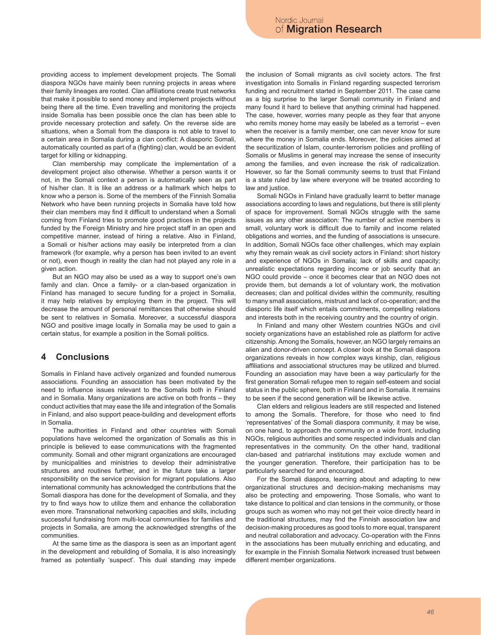providing access to implement development projects. The Somali diaspora NGOs have mainly been running projects in areas where their family lineages are rooted. Clan affiliations create trust networks that make it possible to send money and implement projects without being there all the time. Even travelling and monitoring the projects inside Somalia has been possible once the clan has been able to provide necessary protection and safety. On the reverse side are situations, when a Somali from the diaspora is not able to travel to a certain area in Somalia during a clan conflict: A diasporic Somali, automatically counted as part of a (fighting) clan, would be an evident target for killing or kidnapping.

Clan membership may complicate the implementation of a development project also otherwise. Whether a person wants it or not, in the Somali context a person is automatically seen as part of his/her clan. It is like an address or a hallmark which helps to know who a person is. Some of the members of the Finnish Somalia Network who have been running projects in Somalia have told how their clan members may find it difficult to understand when a Somali coming from Finland tries to promote good practices in the projects funded by the Foreign Ministry and hire project staff in an open and competitive manner, instead of hiring a relative. Also in Finland, a Somali or his/her actions may easily be interpreted from a clan framework (for example, why a person has been invited to an event or not), even though in reality the clan had not played any role in a given action.

But an NGO may also be used as a way to support one's own family and clan. Once a family- or a clan-based organization in Finland has managed to secure funding for a project in Somalia, it may help relatives by employing them in the project. This will decrease the amount of personal remittances that otherwise should be sent to relatives in Somalia. Moreover, a successful diaspora NGO and positive image locally in Somalia may be used to gain a certain status, for example a position in the Somali politics.

### **4 Conclusions**

Somalis in Finland have actively organized and founded numerous associations. Founding an association has been motivated by the need to influence issues relevant to the Somalis both in Finland and in Somalia. Many organizations are active on both fronts – they conduct activities that may ease the life and integration of the Somalis in Finland, and also support peace-building and development efforts in Somalia.

The authorities in Finland and other countries with Somali populations have welcomed the organization of Somalis as this in principle is believed to ease communications with the fragmented community. Somali and other migrant organizations are encouraged by municipalities and ministries to develop their administrative structures and routines further, and in the future take a larger responsibility on the service provision for migrant populations. Also international community has acknowledged the contributions that the Somali diaspora has done for the development of Somalia, and they try to find ways how to utilize them and enhance the collaboration even more. Transnational networking capacities and skills, including successful fundraising from multi-local communities for families and projects in Somalia, are among the acknowledged strengths of the communities.

At the same time as the diaspora is seen as an important agent in the development and rebuilding of Somalia, it is also increasingly framed as potentially 'suspect'. This dual standing may impede

the inclusion of Somali migrants as civil society actors. The first investigation into Somalis in Finland regarding suspected terrorism funding and recruitment started in September 2011. The case came as a big surprise to the larger Somali community in Finland and many found it hard to believe that anything criminal had happened. The case, however, worries many people as they fear that anyone who remits money home may easily be labeled as a terrorist – even when the receiver is a family member, one can never know for sure where the money in Somalia ends. Moreover, the policies aimed at the securitization of Islam, counter-terrorism policies and profiling of Somalis or Muslims in general may increase the sense of insecurity among the families, and even increase the risk of radicalization. However, so far the Somali community seems to trust that Finland is a state ruled by law where everyone will be treated according to law and justice.

Somali NGOs in Finland have gradually learnt to better manage associations according to laws and regulations, but there is still plenty of space for improvement. Somali NGOs struggle with the same issues as any other association: The number of active members is small, voluntary work is difficult due to family and income related obligations and worries, and the funding of associations is unsecure. In addition, Somali NGOs face other challenges, which may explain why they remain weak as civil society actors in Finland: short history and experience of NGOs in Somalia; lack of skills and capacity; unrealistic expectations regarding income or job security that an NGO could provide – once it becomes clear that an NGO does not provide them, but demands a lot of voluntary work, the motivation decreases; clan and political divides within the community, resulting to many small associations, mistrust and lack of co-operation; and the diasporic life itself which entails commitments, compelling relations and interests both in the receiving country and the country of origin.

In Finland and many other Western countries NGOs and civil society organizations have an established role as platform for active citizenship. Among the Somalis, however, an NGO largely remains an alien and donor-driven concept. A closer look at the Somali diaspora organizations reveals in how complex ways kinship, clan, religious affiliations and associational structures may be utilized and blurred. Founding an association may have been a way particularly for the first generation Somali refugee men to regain self-esteem and social status in the public sphere, both in Finland and in Somalia. It remains to be seen if the second generation will be likewise active.

Clan elders and religious leaders are still respected and listened to among the Somalis. Therefore, for those who need to find 'representatives' of the Somali diaspora community, it may be wise, on one hand, to approach the community on a wide front, including NGOs, religious authorities and some respected individuals and clan representatives in the community. On the other hand, traditional clan-based and patriarchal institutions may exclude women and the younger generation. Therefore, their participation has to be particularly searched for and encouraged.

For the Somali diaspora, learning about and adapting to new organizational structures and decision-making mechanisms may also be protecting and empowering. Those Somalis, who want to take distance to political and clan tensions in the community, or those groups such as women who may not get their voice directly heard in the traditional structures, may find the Finnish association law and decision-making procedures as good tools to more equal, transparent and neutral collaboration and advocacy. Co-operation with the Finns in the associations has been mutually enriching and educating, and for example in the Finnish Somalia Network increased trust between different member organizations.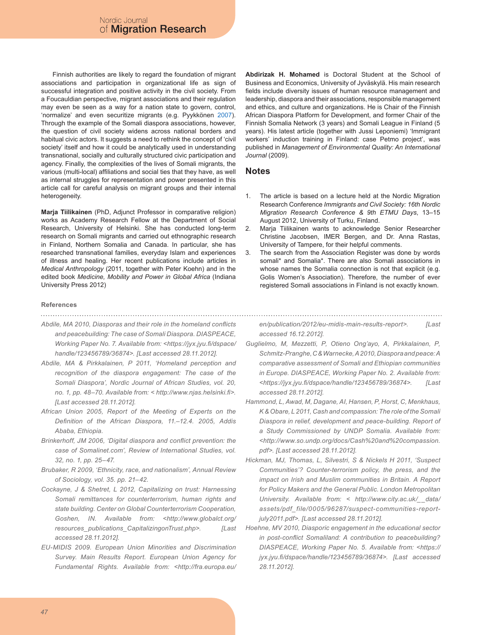Finnish authorities are likely to regard the foundation of migrant associations and participation in organizational life as sign of successful integration and positive activity in the civil society. From a Foucauldian perspective, migrant associations and their regulation may even be seen as a way for a nation state to govern, control, 'normalize' and even securitize migrants (e.g. Pyykkönen 2007). Through the example of the Somali diaspora associations, however, the question of civil society widens across national borders and habitual civic actors. It suggests a need to rethink the concept of 'civil society' itself and how it could be analytically used in understanding transnational, socially and culturally structured civic participation and agency. Finally, the complexities of the lives of Somali migrants, the various (multi-local) affiliations and social ties that they have, as well as internal struggles for representation and power presented in this article call for careful analysis on migrant groups and their internal heterogeneity.

**Marja Tiilikainen** (PhD, Adjunct Professor in comparative religion) works as Academy Research Fellow at the Department of Social Research, University of Helsinki. She has conducted long-term research on Somali migrants and carried out ethnographic research in Finland, Northern Somalia and Canada. In particular, she has researched transnational families, everyday Islam and experiences of illness and healing. Her recent publications include articles in *Medical Anthropology* (2011, together with Peter Koehn) and in the edited book *Medicine, Mobility and Power in Global Africa* (Indiana University Press 2012)

#### **References**

*Abdile, MA 2010, Diasporas and their role in the homeland conflicts and peacebuilding: The case of Somali Diaspora. DIASPEACE, Working Paper No. 7. Available from: <https://jyx.jyu.fi/dspace/ handle/123456789/36874>. [Last accessed 28.11.2012].*

- *Abdile, MA & Pirkkalainen, P 2011, 'Homeland perception and recognition of the diaspora engagement: The case of the Somali Diaspora', Nordic Journal of African Studies, vol. 20, no. 1, pp. 48–70. Available from: < http://www.njas.helsinki.fi>. [Last accessed 28.11.2012].*
- *African Union 2005, Report of the Meeting of Experts on the Definition of the African Diaspora, 11.–12.4. 2005, Addis Ababa, Ethiopia.*
- *Brinkerhoff, JM 2006, 'Digital diaspora and conflict prevention: the case of Somalinet.com', Review of International Studies, vol. 32, no. 1, pp. 25–47.*
- *Brubaker, R 2009, 'Ethnicity, race, and nationalism', Annual Review of Sociology, vol. 35. pp. 21–42.*
- *Cockayne, J & Shetret, L 2012, Capitalizing on trust: Harnessing Somali remittances for counterterrorism, human rights and state building. Center on Global Counterterrorism Cooperation, Goshen, IN. Available from: <http://www.globalct.org/ resources\_publications\_CapitalizingonTrust.php>. [Last accessed 28.11.2012].*
- *EU-MIDIS 2009. European Union Minorities and Discrimination Survey. Main Results Report. European Union Agency for Fundamental Rights. Available from: <http://fra.europa.eu/*

**Abdirizak H. Mohamed** is Doctoral Student at the School of Business and Economics, University of Jyväskylä. His main research fields include diversity issues of human resource management and leadership, diaspora and their associations, responsible management and ethics, and culture and organizations. He is Chair of the Finnish African Diaspora Platform for Development, and former Chair of the Finnish Somalia Network (3 years) and Somali League in Finland (5 years). His latest article (together with Jussi Leponiemi) 'Immigrant workers' induction training in Finland: case Petmo project', was published in *Management of Environmental Quality: An International Journal* (2009).

### **Notes**

- The article is based on a lecture held at the Nordic Migration Research Conference *Immigrants and Civil Society: 16th Nordic Migration Research Conference & 9th ETMU Days*, 13–15 August 2012, University of Turku, Finland. 1.
- Marja Tiilikainen wants to acknowledge Senior Researcher Christine Jacobsen, IMER Bergen, and Dr. Anna Rastas, University of Tampere, for their helpful comments. 2.
- The search from the Association Register was done by words somali\* and Somalia\*. There are also Somali associations in whose names the Somalia connection is not that explicit (e.g. Golis Women's Association). Therefore, the number of ever registered Somali associations in Finland is not exactly known. 3.

*en/publication/2012/eu-midis-main-results-report>. [Last accessed 16.12.2012].*

- *Guglielmo, M, Mezzetti, P, Otieno Ong'ayo, A, Pirkkalainen, P, Schmitz-Pranghe, C & Warnecke, A 2010, Diaspora and peace: A comparative assessment of Somali and Ethiopian communities in Europe. DIASPEACE, Working Paper No. 2. Available from: <https://jyx.jyu.fi/dspace/handle/123456789/36874>. [Last accessed 28.11.2012].*
- *Hammond, L, Awad, M, Dagane, AI, Hansen, P, Horst, C, Menkhaus, K & Obare, L 2011, Cash and compassion: The role of the Somali Diaspora in relief, development and peace-building. Report of a Study Commissioned by UNDP Somalia. Available from: <http://www.so.undp.org/docs/Cash%20and%20compassion. pdf>. [Last accessed 28.11.2012].*
- *Hickman, MJ, Thomas, L, Silvestri, S & Nickels H 2011, 'Suspect Communities'? Counter-terrorism policy, the press, and the impact on Irish and Muslim communities in Britain. A Report for Policy Makers and the General Public. London Metropolitan University. Available from: < http://www.city.ac.uk/\_\_data/ assets/pdf\_file/0005/96287/suspect-communities-reportjuly2011.pdf>. [Last accessed 28.11.2012].*
- *Hoehne, MV 2010, Diasporic engagement in the educational sector in post-conflict Somaliland: A contribution to peacebuilding? DIASPEACE, Working Paper No. 5. Available from: <https:// jyx.jyu.fi/dspace/handle/123456789/36874>. [Last accessed 28.11.2012].*